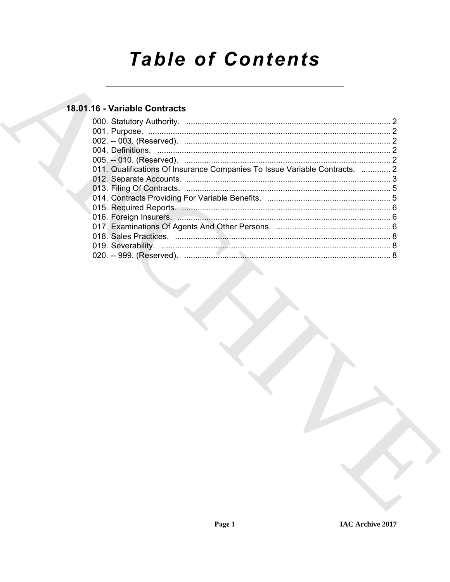# **Table of Contents**

### 18.01.16 - Variable Contracts

| 011. Qualifications Of Insurance Companies To Issue Variable Contracts.  2 |  |
|----------------------------------------------------------------------------|--|
|                                                                            |  |
|                                                                            |  |
|                                                                            |  |
|                                                                            |  |
|                                                                            |  |
|                                                                            |  |
|                                                                            |  |
|                                                                            |  |
|                                                                            |  |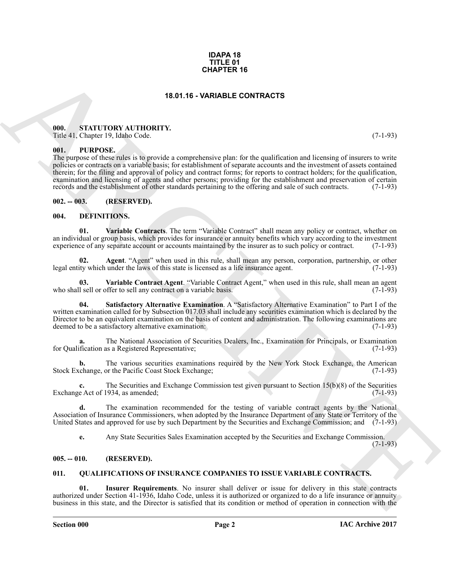#### **IDAPA 18 TITLE 01 CHAPTER 16**

#### **18.01.16 - VARIABLE CONTRACTS**

#### <span id="page-1-1"></span><span id="page-1-0"></span>**000. STATUTORY AUTHORITY.**

Title 41, Chapter 19, Idaho Code. (7-1-93)

#### <span id="page-1-2"></span>**001. PURPOSE.**

**CHAPTER 16**<br> **CHAPTER 16**<br> **CHAPTER 16**<br> **CHAPTER 2008 ACTIONATY.**<br> **CHAPTER 2008 ACTIONATY.**<br> **CHAPTER 2008 ACTION ACTIONATY.**<br> **CHAPTER 2008 ACTION** ACTIONS A COMPOSITION IN the continues and licensing of means to writ The purpose of these rules is to provide a comprehensive plan: for the qualification and licensing of insurers to write policies or contracts on a variable basis; for establishment of separate accounts and the investment of assets contained therein; for the filing and approval of policy and contract forms; for reports to contract holders; for the qualification, examination and licensing of agents and other persons; providing for the establishment and preservation of certain records and the establishment of other standards pertaining to the offering and sale of such contracts. (7records and the establishment of other standards pertaining to the offering and sale of such contracts.

<span id="page-1-3"></span>**002. -- 003. (RESERVED).**

#### <span id="page-1-7"></span><span id="page-1-4"></span>**004. DEFINITIONS.**

<span id="page-1-11"></span>**01. Variable Contracts**. The term "Variable Contract" shall mean any policy or contract, whether on an individual or group basis, which provides for insurance or annuity benefits which vary according to the investment experience of any separate account or accounts maintained by the insurer as to such policy or contract. experience of any separate account or accounts maintained by the insurer as to such policy or contract.

<span id="page-1-8"></span>**02.** Agent. "Agent" when used in this rule, shall mean any person, corporation, partnership, or other ity which under the laws of this state is licensed as a life insurance agent. (7-1-93) legal entity which under the laws of this state is licensed as a life insurance agent.

<span id="page-1-10"></span>**03.** Variable Contract Agent. "Variable Contract Agent," when used in this rule, shall mean an agent 1 sell or offer to sell any contract on a variable basis. who shall sell or offer to sell any contract on a variable basis.

<span id="page-1-9"></span>**04. Satisfactory Alternative Examination**. A "Satisfactory Alternative Examination" to Part I of the written examination called for by Subsection 017.03 shall include any securities examination which is declared by the Director to be an equivalent examination on the basis of content and administration. The following examinations are deemed to be a satisfactory alternative examination: (7-1-93) deemed to be a satisfactory alternative examination:

**a.** The National Association of Securities Dealers, Inc., Examination for Principals, or Examination for Qualification as a Registered Representative; (7-1-93)

**b.** The various securities examinations required by the New York Stock Exchange, the American change or the Pacific Coast Stock Exchange: (7-1-93) Stock Exchange, or the Pacific Coast Stock Exchange;

The Securities and Exchange Commission test given pursuant to Section 15(b)(8) of the Securities (934, as amended: (7-1-93) Exchange Act of 1934, as amended;

**d.** The examination recommended for the testing of variable contract agents by the National Association of Insurance Commissioners, when adopted by the Insurance Department of any State or Territory of the United States and approved for use by such Department by the Securities and Exchange Commission; and (7-1-93)

<span id="page-1-13"></span>**e.** Any State Securities Sales Examination accepted by the Securities and Exchange Commission.

 $(7-1-93)$ 

#### <span id="page-1-5"></span>**005. -- 010. (RESERVED).**

#### <span id="page-1-12"></span><span id="page-1-6"></span>**011. QUALIFICATIONS OF INSURANCE COMPANIES TO ISSUE VARIABLE CONTRACTS.**

**01. Insurer Requirements**. No insurer shall deliver or issue for delivery in this state contracts authorized under Section 41-1936, Idaho Code, unless it is authorized or organized to do a life insurance or annuity business in this state, and the Director is satisfied that its condition or method of operation in connection with the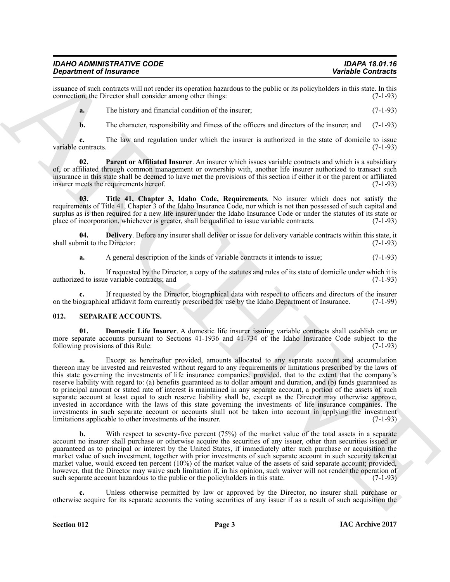#### *IDAHO ADMINISTRATIVE CODE IDAPA 18.01.16* **Department of Insurance**

issuance of such contracts will not render its operation hazardous to the public or its policyholders in this state. In this connection, the Director shall consider among other things: (7-1-93) connection, the Director shall consider among other things:

**a.** The history and financial condition of the insurer: (7-1-93)

<span id="page-2-2"></span>**b.** The character, responsibility and fitness of the officers and directors of the insurer; and (7-1-93)

**c.** The law and regulation under which the insurer is authorized in the state of domicile to issue contracts. (7-1-93) variable contracts.

**02. Parent or Affiliated Insurer**. An insurer which issues variable contracts and which is a subsidiary of, or affiliated through common management or ownership with, another life insurer authorized to transact such insurance in this state shall be deemed to have met the provisions of this section if either it or the parent or affiliated insurer meets the requirements hereof. (7-1-93) insurer meets the requirements hereof.

<span id="page-2-3"></span>**03. Title 41, Chapter 3, Idaho Code, Requirements**. No insurer which does not satisfy the requirements of Title 41, Chapter 3 of the Idaho Insurance Code, nor which is not then possessed of such capital and surplus as is then required for a new life insurer under the Idaho Insurance Code or under the statutes of its state or place of incorporation, whichever is greater, shall be qualified to issue variable contracts. (7-1-93)

**04. Delivery**. Before any insurer shall deliver or issue for delivery variable contracts within this state, it mit to the Director: (7-1-93) shall submit to the Director:

<span id="page-2-1"></span>**a.** A general description of the kinds of variable contracts it intends to issue; (7-1-93)

**b.** If requested by the Director, a copy of the statutes and rules of its state of domicile under which it is ed to issue variable contracts; and (7-1-93) authorized to issue variable contracts; and

If requested by the Director, biographical data with respect to officers and directors of the insurer al affidavit form currently prescribed for use by the Idaho Department of Insurance. (7-1-99) on the biographical affidavit form currently prescribed for use by the Idaho Department of Insurance.

#### <span id="page-2-4"></span><span id="page-2-0"></span>**012. SEPARATE ACCOUNTS.**

<span id="page-2-5"></span>**01. Domestic Life Insurer**. A domestic life insurer issuing variable contracts shall establish one or more separate accounts pursuant to Sections 41-1936 and 41-734 of the Idaho Insurance Code subject to the following provisions of this Rule: (7-1-93) following provisions of this Rule:

**Experimental Theorems** Constraint Christian Constraint Christian Christian Constraint Christian Christian Christian Christian Christian Christian Christian Christian Christian Christian Christian Christian Christian Chri **a.** Except as hereinafter provided, amounts allocated to any separate account and accumulation thereon may be invested and reinvested without regard to any requirements or limitations prescribed by the laws of this state governing the investments of life insurance companies; provided, that to the extent that the company's reserve liability with regard to: (a) benefits guaranteed as to dollar amount and duration, and (b) funds guaranteed as to principal amount or stated rate of interest is maintained in any separate account, a portion of the assets of such separate account at least equal to such reserve liability shall be, except as the Director may otherwise approve, invested in accordance with the laws of this state governing the investments of life insurance companies. The investments in such separate account or accounts shall not be taken into account in applying the investment limitations applicable to other investments of the insurer. (7-1-93) limitations applicable to other investments of the insurer.

With respect to seventy-five percent (75%) of the market value of the total assets in a separate account no insurer shall purchase or otherwise acquire the securities of any issuer, other than securities issued or guaranteed as to principal or interest by the United States, if immediately after such purchase or acquisition the market value of such investment, together with prior investments of such separate account in such security taken at market value, would exceed ten percent (10%) of the market value of the assets of said separate account; provided, however, that the Director may waive such limitation if, in his opinion, such waiver will not render the operation of such separate account hazardous to the public or the policyholders in this state. (7-1-93) such separate account hazardous to the public or the policyholders in this state.

**c.** Unless otherwise permitted by law or approved by the Director, no insurer shall purchase or otherwise acquire for its separate accounts the voting securities of any issuer if as a result of such acquisition the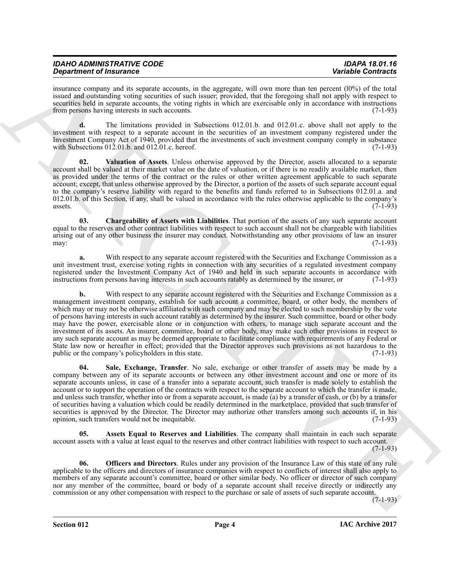| <b>IDAHO ADMINISTRATIVE CODE</b> |  |
|----------------------------------|--|
| <b>Department of Insurance</b>   |  |

insurance company and its separate accounts, in the aggregate, will own more than ten percent (l0%) of the total issued and outstanding voting securities of such issuer; provided, that the foregoing shall not apply with respect to securities held in separate accounts, the voting rights in which are exercisable only in accordance with instructions from persons having interests in such accounts. (7-1-93)

**d.** The limitations provided in Subsections 012.01.b. and 012.01.c. above shall not apply to the investment with respect to a separate account in the securities of an investment company registered under the Investment Company Act of 1940, provided that the investments of such investment company comply in substance with Subsections 012.01.b. and 012.01.c. hereof. (7-1-93)

<span id="page-3-4"></span>**02. Valuation of Assets**. Unless otherwise approved by the Director, assets allocated to a separate account shall be valued at their market value on the date of valuation, or if there is no readily available market, then as provided under the terms of the contract or the rules or other written agreement applicable to such separate account; except, that unless otherwise approved by the Director, a portion of the assets of such separate account equal to the company's reserve liability with regard to the benefits and funds referred to in Subsections 012.01.a. and 012.01.b. of this Section, if any, shall be valued in accordance with the rules otherwise applicable to the company's assets.  $(7-1-93)$  $\alpha$ ssets.  $(7-1-93)$ 

<span id="page-3-1"></span>**03. Chargeability of Assets with Liabilities**. That portion of the assets of any such separate account equal to the reserves and other contract liabilities with respect to such account shall not be chargeable with liabilities arising out of any other business the insurer may conduct. Notwithstanding any other provisions of law an insurer may: (7-1-93) may:  $(7-1-93)$ 

**a.** With respect to any separate account registered with the Securities and Exchange Commission as a unit investment trust, exercise voting rights in connection with any securities of a regulated investment company registered under the Investment Company Act of 1940 and held in such separate accounts in accordance with instructions from persons having interests in such accounts ratably as determined by the insurer, or (7-1-93) instructions from persons having interests in such accounts ratably as determined by the insurer, or

**Strainers** of Francesco Controls in the experience of the space line is the space line in the space of Francesco Controls in the space of the space of the space of the space of the space of the space of the space of the **b.** With respect to any separate account registered with the Securities and Exchange Commission as a management investment company, establish for such account a committee, board, or other body, the members of which may or may not be otherwise affiliated with such company and may be elected to such membership by the vote of persons having interests in such account ratably as determined by the insurer. Such committee, board or other body may have the power, exercisable alone or in conjunction with others, to manage such separate account and the investment of its assets. An insurer, committee, board or other body, may make such other provisions in respect to any such separate account as may be deemed appropriate to facilitate compliance with requirements of any Federal or State law now or hereafter in effect; provided that the Director approves such provisions as not hazardous to the public or the company's policyholders in this state. (7-1-93)

<span id="page-3-3"></span>**04. Sale, Exchange, Transfer**. No sale, exchange or other transfer of assets may be made by a company between any of its separate accounts or between any other investment account and one or more of its separate accounts unless, in case of a transfer into a separate account, such transfer is made solely to establish the account or to support the operation of the contracts with respect to the separate account to which the transfer is made, and unless such transfer, whether into or from a separate account, is made (a) by a transfer of cash, or (b) by a transfer of securities having a valuation which could be readily determined in the marketplace, provided that such transfer of securities is approved by the Director. The Director may authorize other transfers among such accounts if, in his opinion, such transfers would not be inequitable. (7-1-93) opinion, such transfers would not be inequitable.

<span id="page-3-0"></span>**05. Assets Equal to Reserves and Liabilities**. The company shall maintain in each such separate account assets with a value at least equal to the reserves and other contract liabilities with respect to such account.  $(7-1-93)$ 

<span id="page-3-2"></span>**06. Officers and Directors**. Rules under any provision of the Insurance Law of this state of any rule applicable to the officers and directors of insurance companies with respect to conflicts of interest shall also apply to members of any separate account's committee, board or other similar body. No officer or director of such company nor any member of the committee, board or body of a separate account shall receive directly or indirectly any commission or any other compensation with respect to the purchase or sale of assets of such separate account.

(7-1-93)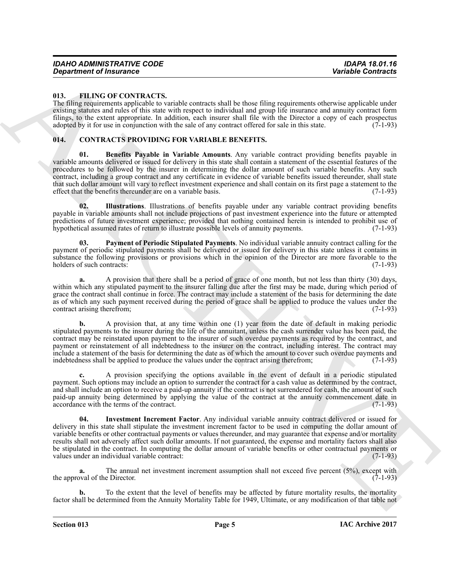#### <span id="page-4-7"></span><span id="page-4-0"></span>**013. FILING OF CONTRACTS.**

The filing requirements applicable to variable contracts shall be those filing requirements otherwise applicable under existing statutes and rules of this state with respect to individual and group life insurance and annuity contract form filings, to the extent appropriate. In addition, each insurer shall file with the Director a copy of each prospectus adopted by it for use in conjunction with the sale of any contract offered for sale in this state. (7-1-93)

#### <span id="page-4-2"></span><span id="page-4-1"></span>**014. CONTRACTS PROVIDING FOR VARIABLE BENEFITS.**

<span id="page-4-3"></span>**01. Benefits Payable in Variable Amounts**. Any variable contract providing benefits payable in variable amounts delivered or issued for delivery in this state shall contain a statement of the essential features of the procedures to be followed by the insurer in determining the dollar amount of such variable benefits. Any such contract, including a group contract and any certificate in evidence of variable benefits issued thereunder, shall state that such dollar amount will vary to reflect investment experience and shall contain on its first page a statement to the effect that the benefits thereunder are on a variable basis. (7-1-93)

<span id="page-4-4"></span>**02. Illustrations**. Illustrations of benefits payable under any variable contract providing benefits payable in variable amounts shall not include projections of past investment experience into the future or attempted predictions of future investment experience; provided that nothing contained herein is intended to prohibit use of hypothetical assumed rates of return to illustrate possible levels of annuity payments. (7-1-93)

<span id="page-4-6"></span>**03. Payment of Periodic Stipulated Payments**. No individual variable annuity contract calling for the payment of periodic stipulated payments shall be delivered or issued for delivery in this state unless it contains in substance the following provisions or provisions which in the opinion of the Director are more favorable to the holders of such contracts: (7-1-93)

**a.** A provision that there shall be a period of grace of one month, but not less than thirty (30) days, within which any stipulated payment to the insurer falling due after the first may be made, during which period of grace the contract shall continue in force. The contract may include a statement of the basis for determining the date as of which any such payment received during the period of grace shall be applied to produce the values under the contract arising therefrom: (7-1-93) contract arising therefrom;

**b.** A provision that, at any time within one (1) year from the date of default in making periodic stipulated payments to the insurer during the life of the annuitant, unless the cash surrender value has been paid, the contract may be reinstated upon payment to the insurer of such overdue payments as required by the contract, and payment or reinstatement of all indebtedness to the insurer on the contract, including interest. The contract may include a statement of the basis for determining the date as of which the amount to cover such overdue payments and indebtedness shall be applied to produce the values under the contract arising therefrom; (7-1-93) indebtedness shall be applied to produce the values under the contract arising therefrom;

<span id="page-4-5"></span>**c.** A provision specifying the options available in the event of default in a periodic stipulated payment. Such options may include an option to surrender the contract for a cash value as determined by the contract, and shall include an option to receive a paid-up annuity if the contract is not surrendered for cash, the amount of such paid-up annuity being determined by applying the value of the contract at the annuity commencement date in accordance with the terms of the contract. (7-1-93) accordance with the terms of the contract.

**Consider of Francesco CONTERCTS.**<br> **CONTEXTS: CONTEXTS: CONTEXTS: CONTEXTS: CONTEXTS: CONTEXTS: CONTEXTS: CONTEXTS: CONTEXTS: CONTEXTS: CONTEXTS: CONTEXTS: CONTEXTS: CONTEXTS: CONTEXTS: CONT 04. Investment Increment Factor**. Any individual variable annuity contract delivered or issued for delivery in this state shall stipulate the investment increment factor to be used in computing the dollar amount of variable benefits or other contractual payments or values thereunder, and may guarantee that expense and/or mortality results shall not adversely affect such dollar amounts. If not guaranteed, the expense and mortality factors shall also be stipulated in the contract. In computing the dollar amount of variable benefits or other contractual payments or values under an individual variable contract: values under an individual variable contract:

**a.** The annual net investment increment assumption shall not exceed five percent (5%), except with val of the Director. (7-1-93) the approval of the Director.

**b.** To the extent that the level of benefits may be affected by future mortality results, the mortality factor shall be determined from the Annuity Mortality Table for 1949, Ultimate, or any modification of that table not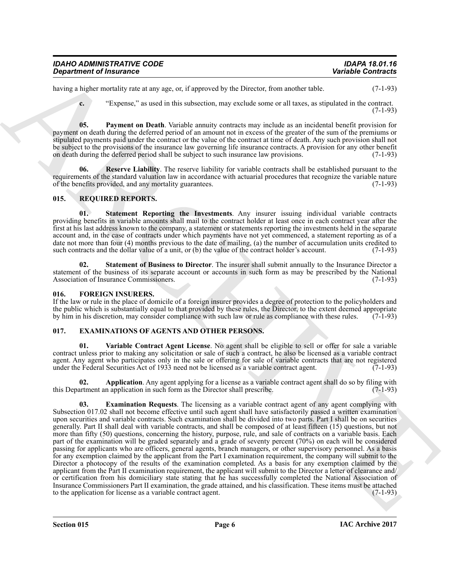| <b>IDAHO ADMINISTRATIVE CODE</b> | IDAPA 18.01.16            |
|----------------------------------|---------------------------|
| <b>Department of Insurance</b>   | <b>Variable Contracts</b> |

having a higher mortality rate at any age, or, if approved by the Director, from another table. (7-1-93)

<span id="page-5-3"></span>**c.** "Expense," as used in this subsection, may exclude some or all taxes, as stipulated in the contract.  $(7-1-93)$ 

**05. Payment on Death**. Variable annuity contracts may include as an incidental benefit provision for payment on death during the deferred period of an amount not in excess of the greater of the sum of the premiums or stipulated payments paid under the contract or the value of the contract at time of death. Any such provision shall not be subject to the provisions of the insurance law governing life insurance contracts. A provision for any other benefit on death during the deferred period shall be subject to such insurance law provisions. (7-1-93)

<span id="page-5-4"></span>**Reserve Liability**. The reserve liability for variable contracts shall be established pursuant to the requirements of the standard valuation law in accordance with actuarial procedures that recognize the variable nature of the benefits provided, and any mortality guarantees. (7-1-93) of the benefits provided, and any mortality guarantees.

#### <span id="page-5-10"></span><span id="page-5-0"></span>**015. REQUIRED REPORTS.**

<span id="page-5-12"></span>**01. Statement Reporting the Investments**. Any insurer issuing individual variable contracts providing benefits in variable amounts shall mail to the contract holder at least once in each contract year after the first at his last address known to the company, a statement or statements reporting the investments held in the separate account and, in the case of contracts under which payments have not yet commenced, a statement reporting as of a date not more than four (4) months previous to the date of mailing, (a) the number of accumulation units credited to such contracts and the dollar value of a unit, or (b) the value of the contract holder's account.  $(7-1$ such contracts and the dollar value of a unit, or (b) the value of the contract holder's account.

<span id="page-5-11"></span>**02. Statement of Business to Director**. The insurer shall submit annually to the Insurance Director a statement of the business of its separate account or accounts in such form as may be prescribed by the National Association of Insurance Commissioners. (7-1-93) Association of Insurance Commissioners.

#### <span id="page-5-9"></span><span id="page-5-1"></span>**016. FOREIGN INSURERS.**

If the law or rule in the place of domicile of a foreign insurer provides a degree of protection to the policyholders and the public which is substantially equal to that provided by these rules, the Director, to the extent deemed appropriate by him in his discretion, may consider compliance with such law or rule as compliance with these rules by him in his discretion, may consider compliance with such law or rule as compliance with these rules.

#### <span id="page-5-5"></span><span id="page-5-2"></span>**017. EXAMINATIONS OF AGENTS AND OTHER PERSONS.**

<span id="page-5-8"></span>**01. Variable Contract Agent License**. No agent shall be eligible to sell or offer for sale a variable contract unless prior to making any solicitation or sale of such a contract, he also be licensed as a variable contract agent. Any agent who participates only in the sale or offering for sale of variable contracts that are not registered under the Federal Securities Act of 1933 need not be licensed as a variable contract agent. (7-1-93)

<span id="page-5-7"></span><span id="page-5-6"></span>**02. Application**. Any agent applying for a license as a variable contract agent shall do so by filing with this Department an application in such form as the Director shall prescribe. (7-1-93)

*Department of Insurance*<br>
Resume of Transmiths, one and survey of the process of the December and anomalous table. Contracts the contracts of the state of the state of the state of the state of the state of the state o **03. Examination Requests**. The licensing as a variable contract agent of any agent complying with Subsection 017.02 shall not become effective until such agent shall have satisfactorily passed a written examination upon securities and variable contracts. Such examination shall be divided into two parts. Part I shall be on securities generally. Part II shall deal with variable contracts, and shall be composed of at least fifteen (15) questions, but not more than fifty (50) questions, concerning the history, purpose, rule, and sale of contracts on a variable basis. Each part of the examination will be graded separately and a grade of seventy percent (70%) on each will be considered passing for applicants who are officers, general agents, branch managers, or other supervisory personnel. As a basis for any exemption claimed by the applicant from the Part I examination requirement, the company will submit to the Director a photocopy of the results of the examination completed. As a basis for any exemption claimed by the applicant from the Part II examination requirement, the applicant will submit to the Director a letter of clearance and/ or certification from his domiciliary state stating that he has successfully completed the National Association of Insurance Commissioners Part II examination, the grade attained, and his classification. These items must be attached to the application for license as a variable contract agent.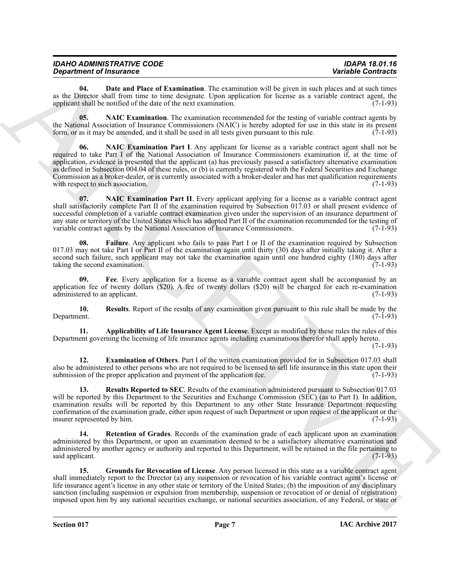| <b>IDAHO ADMINISTRATIVE CODE</b> | <b>IDAPA 18.01.16</b>     |
|----------------------------------|---------------------------|
| <b>Department of Insurance</b>   | <b>Variable Contracts</b> |

<span id="page-6-1"></span>**04. Date and Place of Examination**. The examination will be given in such places and at such times as the Director shall from time to time designate. Upon application for license as a variable contract agent, the applicant shall be notified of the date of the next examination. (7-1-93) applicant shall be notified of the date of the next examination.

<span id="page-6-7"></span><span id="page-6-6"></span>**05.** NAIC Examination. The examination recommended for the testing of variable contract agents by the National Association of Insurance Commissioners (NAIC) is hereby adopted for use in this state in its present form, or as it may be amended, and it shall be used in all tests given pursuant to this rule. (7-1-93) form, or as it may be amended, and it shall be used in all tests given pursuant to this rule.

**Sometimes of hastant Brevet Examination**. Be consistened with the second and the second and the second and the second and the second and the second and the second and the second and the second and the second and the seco **06. NAIC Examination Part I**. Any applicant for license as a variable contract agent shall not be required to take Part I of the National Association of Insurance Commissioners examination if, at the time of application, evidence is presented that the applicant (a) has previously passed a satisfactory alternative examination as defined in Subsection 004.04 of these rules, or (b) is currently registered with the Federal Securities and Exchange Commission as a broker-dealer, or is currently associated with a broker-dealer and has met qualification requirements with respect to such association. (7-1-93) with respect to such association.

<span id="page-6-8"></span>**07. NAIC Examination Part II**. Every applicant applying for a license as a variable contract agent shall satisfactorily complete Part II of the examination required by Subsection 017.03 or shall present evidence of successful completion of a variable contract examination given under the supervision of an insurance department of any state or territory of the United States which has adopted Part II of the examination recommended for the testing of variable contract agents by the National Association of Insurance Commissioners. (7-1-93) variable contract agents by the National Association of Insurance Commissioners.

<span id="page-6-3"></span>**08. Failure**. Any applicant who fails to pass Part I or II of the examination required by Subsection 017.03 may not take Part I or Part II of the examination again until thirty (30) days after initially taking it. After a second such failure, such applicant may not take the examination again until one hundred eighty (180) days after taking the second examination. (7-1-93) (7-1-93)

<span id="page-6-4"></span>**09. Fee**. Every application for a license as a variable contract agent shall be accompanied by an application fee of twenty dollars (\$20). A fee of twenty dollars (\$20) will be charged for each re-examination administered to an applicant.  $(7-1-93)$ administered to an applicant.

<span id="page-6-9"></span>**10.** Results. Report of the results of any examination given pursuant to this rule shall be made by the Department. (7-1-93) Department. (7-1-93)

<span id="page-6-0"></span>**11. Applicability of Life Insurance Agent License**. Except as modified by these rules the rules of this Department governing the licensing of life insurance agents including examinations therefor shall apply hereto.

(7-1-93)

<span id="page-6-2"></span>**12. Examination of Others**. Part I of the written examination provided for in Subsection 017.03 shall also be administered to other persons who are not required to be licensed to sell life insurance in this state upon their submission of the proper application and payment of the application fee. (7-1-93) submission of the proper application and payment of the application fee.

<span id="page-6-10"></span>**13. Results Reported to SEC**. Results of the examination administered pursuant to Subsection 017.03 will be reported by this Department to the Securities and Exchange Commission (SEC) (as to Part I). In addition, examination results will be reported by this Department to any other State Insurance Department requesting confirmation of the examination grade, either upon request of such Department or upon request of the applicant or the insurer represented by him.

<span id="page-6-11"></span>**14. Retention of Grades**. Records of the examination grade of each applicant upon an examination administered by this Department, or upon an examination deemed to be a satisfactory alternative examination and administered by another agency or authority and reported to this Department, will be retained in the file pertaining to said applicant. (7-1-93) said applicant.

<span id="page-6-5"></span>**15. Grounds for Revocation of License**. Any person licensed in this state as a variable contract agent shall immediately report to the Director (a) any suspension or revocation of his variable contract agent's license or life insurance agent's license in any other state or territory of the United States; (b) the imposition of any disciplinary sanction (including suspension or expulsion from membership, suspension or revocation of or denial of registration) imposed upon him by any national securities exchange, or national securities association, of any Federal, or state or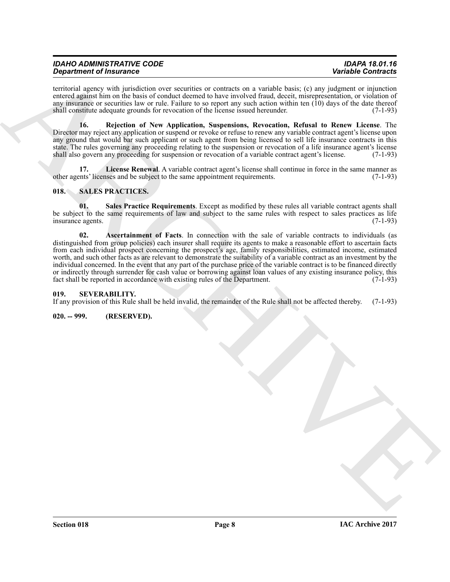| <b>IDAHO ADMINISTRATIVE CODE</b> | <b>IDAPA 18.01.16</b>     |
|----------------------------------|---------------------------|
| <b>Department of Insurance</b>   | <b>Variable Contracts</b> |

territorial agency with jurisdiction over securities or contracts on a variable basis; (c) any judgment or injunction entered against him on the basis of conduct deemed to have involved fraud, deceit, misrepresentation, or violation of any insurance or securities law or rule. Failure to so report any such action within ten (10) days of the date thereof shall constitute adequate grounds for revocation of the license issued hereunder. (7-1-93)

<span id="page-7-4"></span>**16. Rejection of New Application, Suspensions, Revocation, Refusal to Renew License**. The Director may reject any application or suspend or revoke or refuse to renew any variable contract agent's license upon any ground that would bar such applicant or such agent from being licensed to sell life insurance contracts in this state. The rules governing any proceeding relating to the suspension or revocation of a life insurance agent's license shall also govern any proceeding for suspension or revocation of a variable contract agent's license. (7-1-93)

<span id="page-7-3"></span>**17.** License Renewal. A variable contract agent's license shall continue in force in the same manner as ents' licenses and be subject to the same appointment requirements. (7-1-93) other agents' licenses and be subject to the same appointment requirements.

#### <span id="page-7-5"></span><span id="page-7-0"></span>**018. SALES PRACTICES.**

<span id="page-7-7"></span><span id="page-7-6"></span>**01. Sales Practice Requirements**. Except as modified by these rules all variable contract agents shall be subject to the same requirements of law and subject to the same rules with respect to sales practices as life insurance agents. (7-1-93)

**Strainer of Francesco Control in the United Strainers of Architects and the United Strainers of the strainers of the strainers of the strainers of the strainers of the strainers of the strainers of the strainers of the s 02. Ascertainment of Facts**. In connection with the sale of variable contracts to individuals (as distinguished from group policies) each insurer shall require its agents to make a reasonable effort to ascertain facts from each individual prospect concerning the prospect's age, family responsibilities, estimated income, estimated worth, and such other facts as are relevant to demonstrate the suitability of a variable contract as an investment by the individual concerned. In the event that any part of the purchase price of the variable contract is to be financed directly or indirectly through surrender for cash value or borrowing against loan values of any existing insurance policy, this fact shall be reported in accordance with existing rules of the Department. (7-1-93) fact shall be reported in accordance with existing rules of the Department.

#### <span id="page-7-1"></span>**019. SEVERABILITY.**

If any provision of this Rule shall be held invalid, the remainder of the Rule shall not be affected thereby. (7-1-93)

<span id="page-7-2"></span>**020. -- 999. (RESERVED).**